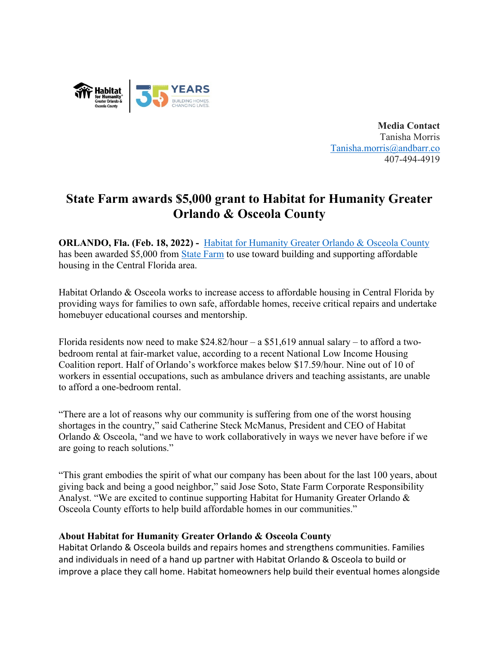

**Media Contact** Tanisha Morris [Tanisha.morris@andbarr.co](mailto:Tanisha.morris@andbarr.co) 407-494-4919

## **State Farm awards \$5,000 grant to Habitat for Humanity Greater Orlando & Osceola County**

**ORLANDO, Fla. (Feb. 18, 2022) -** [Habitat for Humanity Greater Orlando & Osceola County](https://habitatorlandoosceola.org/) has been awarded \$5,000 from [State Farm](https://www.statefarm.com/) to use toward building and supporting affordable housing in the Central Florida area.

Habitat Orlando & Osceola works to increase access to affordable housing in Central Florida by providing ways for families to own safe, affordable homes, receive critical repairs and undertake homebuyer educational courses and mentorship.

Florida residents now need to make  $$24.82/hour - a $51,619$  annual salary – to afford a twobedroom rental at fair-market value, according to a recent National Low Income Housing Coalition report. Half of Orlando's workforce makes below \$17.59/hour. Nine out of 10 of workers in essential occupations, such as ambulance drivers and teaching assistants, are unable to afford a one-bedroom rental.

"There are a lot of reasons why our community is suffering from one of the worst housing shortages in the country," said Catherine Steck McManus, President and CEO of Habitat Orlando & Osceola, "and we have to work collaboratively in ways we never have before if we are going to reach solutions."

"This grant embodies the spirit of what our company has been about for the last 100 years, about giving back and being a good neighbor," said Jose Soto, State Farm Corporate Responsibility Analyst. "We are excited to continue supporting Habitat for Humanity Greater Orlando & Osceola County efforts to help build affordable homes in our communities."

## **About Habitat for Humanity Greater Orlando & Osceola County**

Habitat Orlando & Osceola builds and repairs homes and strengthens communities. Families and individuals in need of a hand up partner with Habitat Orlando & Osceola to build or improve a place they call home. Habitat homeowners help build their eventual homes alongside